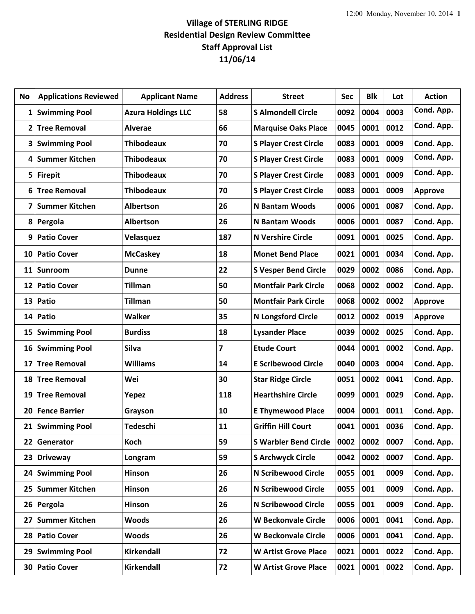## **Village of STERLING RIDGE Residential Design Review Committee Staff Approval List 11/06/14**

| No           | <b>Applications Reviewed</b> | <b>Applicant Name</b>     | <b>Address</b> | <b>Street</b>                | <b>Sec</b> | <b>Blk</b> | Lot  | <b>Action</b>  |
|--------------|------------------------------|---------------------------|----------------|------------------------------|------------|------------|------|----------------|
| $\mathbf{1}$ | <b>Swimming Pool</b>         | <b>Azura Holdings LLC</b> | 58             | <b>S Almondell Circle</b>    | 0092       | 0004       | 0003 | Cond. App.     |
| 2            | <b>Tree Removal</b>          | <b>Alverae</b>            | 66             | <b>Marquise Oaks Place</b>   | 0045       | 0001       | 0012 | Cond. App.     |
| 3            | <b>Swimming Pool</b>         | <b>Thibodeaux</b>         | 70             | <b>S Player Crest Circle</b> | 0083       | 0001       | 0009 | Cond. App.     |
| 4            | <b>Summer Kitchen</b>        | <b>Thibodeaux</b>         | 70             | <b>S Player Crest Circle</b> | 0083       | 0001       | 0009 | Cond. App.     |
| 5            | <b>Firepit</b>               | <b>Thibodeaux</b>         | 70             | <b>S Player Crest Circle</b> | 0083       | 0001       | 0009 | Cond. App.     |
| 6            | <b>Tree Removal</b>          | <b>Thibodeaux</b>         | 70             | <b>S Player Crest Circle</b> | 0083       | 0001       | 0009 | <b>Approve</b> |
| 7            | <b>Summer Kitchen</b>        | <b>Albertson</b>          | 26             | <b>N</b> Bantam Woods        | 0006       | 0001       | 0087 | Cond. App.     |
| 8            | Pergola                      | <b>Albertson</b>          | 26             | <b>N Bantam Woods</b>        | 0006       | 0001       | 0087 | Cond. App.     |
| 9            | <b>Patio Cover</b>           | Velasquez                 | 187            | <b>N Vershire Circle</b>     | 0091       | 0001       | 0025 | Cond. App.     |
| 10           | <b>Patio Cover</b>           | <b>McCaskey</b>           | 18             | <b>Monet Bend Place</b>      | 0021       | 0001       | 0034 | Cond. App.     |
| 11           | Sunroom                      | <b>Dunne</b>              | 22             | <b>S Vesper Bend Circle</b>  | 0029       | 0002       | 0086 | Cond. App.     |
| 12           | <b>Patio Cover</b>           | <b>Tillman</b>            | 50             | <b>Montfair Park Circle</b>  | 0068       | 0002       | 0002 | Cond. App.     |
| 13           | Patio                        | <b>Tillman</b>            | 50             | <b>Montfair Park Circle</b>  | 0068       | 0002       | 0002 | <b>Approve</b> |
| 14           | Patio                        | Walker                    | 35             | <b>N Longsford Circle</b>    | 0012       | 0002       | 0019 | <b>Approve</b> |
| 15           | <b>Swimming Pool</b>         | <b>Burdiss</b>            | 18             | <b>Lysander Place</b>        | 0039       | 0002       | 0025 | Cond. App.     |
| 16           | <b>Swimming Pool</b>         | <b>Silva</b>              | 7              | <b>Etude Court</b>           | 0044       | 0001       | 0002 | Cond. App.     |
| 17           | <b>Tree Removal</b>          | <b>Williams</b>           | 14             | <b>E Scribewood Circle</b>   | 0040       | 0003       | 0004 | Cond. App.     |
| 18           | <b>Tree Removal</b>          | Wei                       | 30             | <b>Star Ridge Circle</b>     | 0051       | 0002       | 0041 | Cond. App.     |
| 19           | <b>Tree Removal</b>          | Yepez                     | 118            | <b>Hearthshire Circle</b>    | 0099       | 0001       | 0029 | Cond. App.     |
| 20           | <b>Fence Barrier</b>         | Grayson                   | 10             | <b>E Thymewood Place</b>     | 0004       | 0001       | 0011 | Cond. App.     |
|              | 21 Swimming Pool             | <b>Tedeschi</b>           | 11             | <b>Griffin Hill Court</b>    | 0041       | 0001       | 0036 | Cond. App.     |
| 22           | Generator                    | Koch                      | 59             | <b>S Warbler Bend Circle</b> | 0002       | 0002       | 0007 | Cond. App.     |
| 23           | <b>Driveway</b>              | Longram                   | 59             | <b>S Archwyck Circle</b>     | 0042       | 0002       | 0007 | Cond. App.     |
| 24           | <b>Swimming Pool</b>         | Hinson                    | 26             | <b>N Scribewood Circle</b>   | 0055       | 001        | 0009 | Cond. App.     |
| 25           | <b>Summer Kitchen</b>        | Hinson                    | 26             | <b>N Scribewood Circle</b>   | 0055       | 001        | 0009 | Cond. App.     |
| 26           | Pergola                      | Hinson                    | 26             | <b>N Scribewood Circle</b>   | 0055       | 001        | 0009 | Cond. App.     |
| 27           | <b>Summer Kitchen</b>        | <b>Woods</b>              | 26             | <b>W Beckonvale Circle</b>   | 0006       | 0001       | 0041 | Cond. App.     |
| 28           | <b>Patio Cover</b>           | <b>Woods</b>              | 26             | <b>W Beckonvale Circle</b>   | 0006       | 0001       | 0041 | Cond. App.     |
| 29           | <b>Swimming Pool</b>         | Kirkendall                | 72             | <b>W Artist Grove Place</b>  | 0021       | 0001       | 0022 | Cond. App.     |
| 30           | <b>Patio Cover</b>           | Kirkendall                | 72             | <b>W Artist Grove Place</b>  | 0021       | 0001       | 0022 | Cond. App.     |